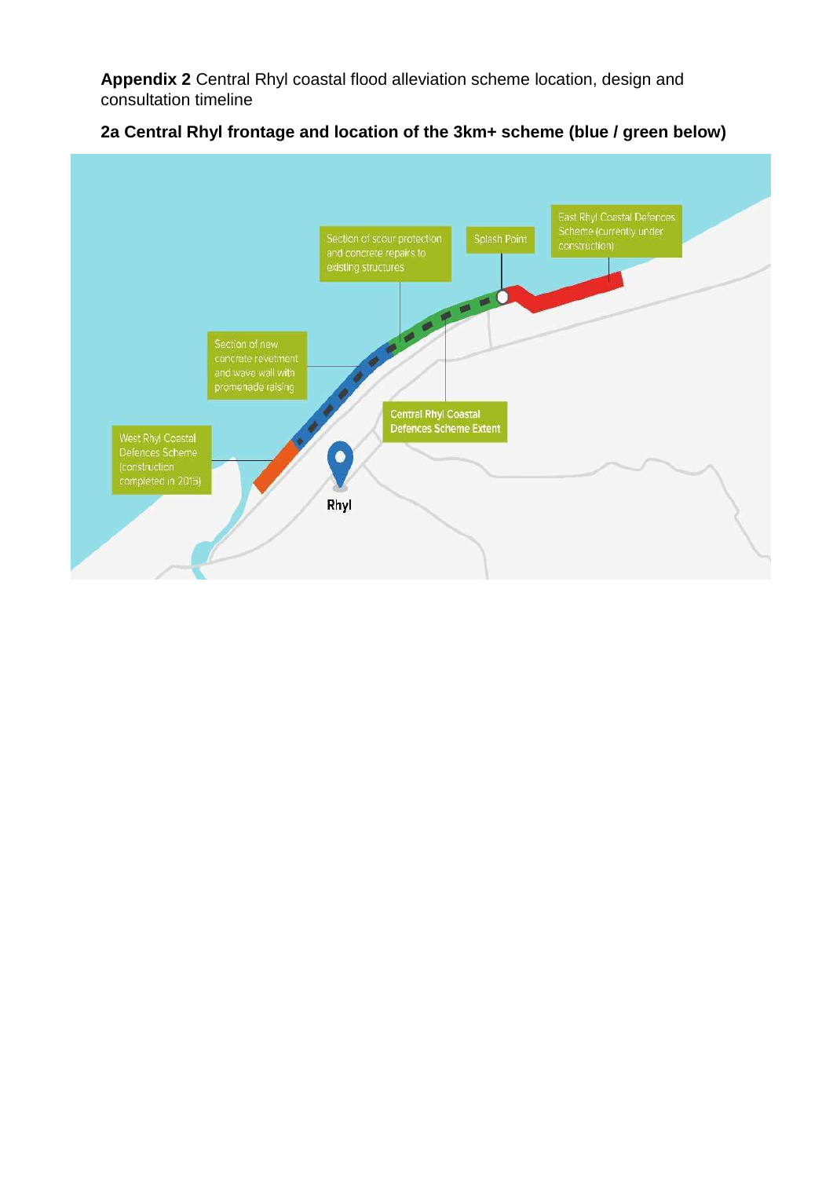**Appendix 2** Central Rhyl coastal flood alleviation scheme location, design and consultation timeline



## **2a Central Rhyl frontage and location of the 3km+ scheme (blue / green below)**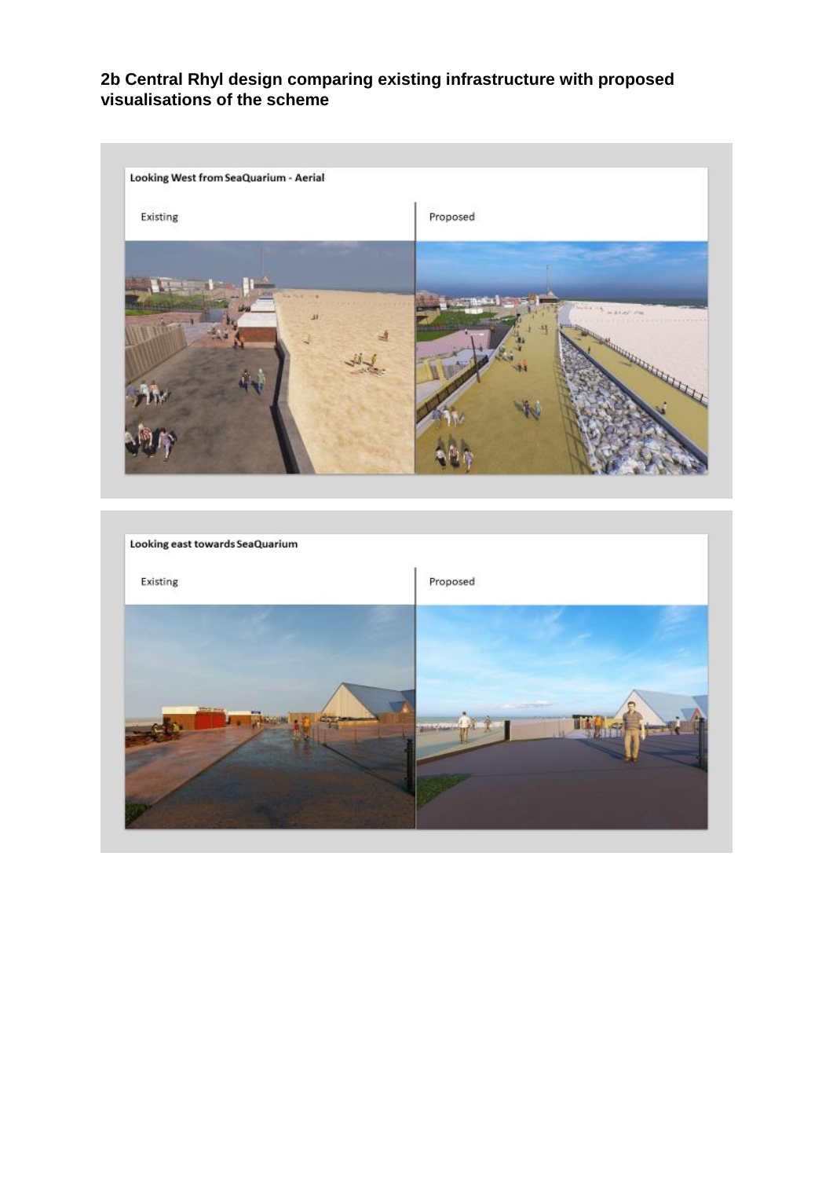## **2b Central Rhyl design comparing existing infrastructure with proposed visualisations of the scheme**



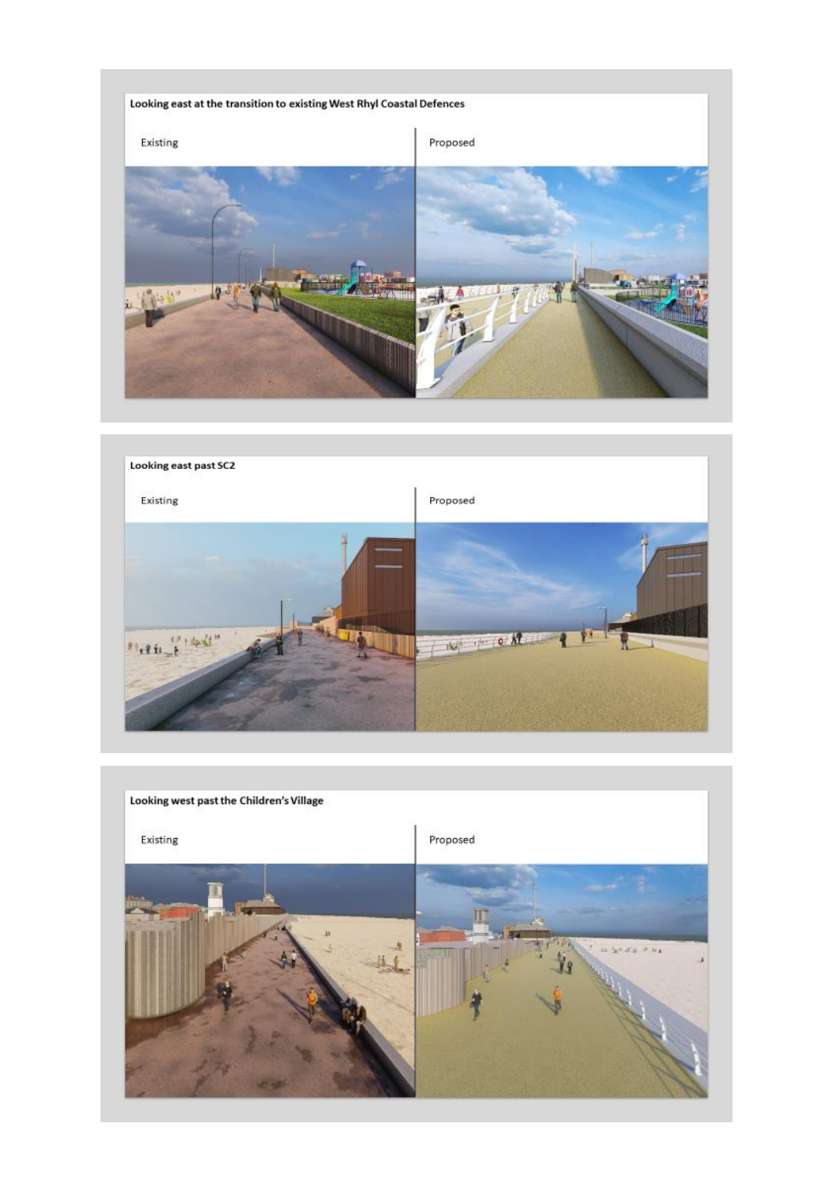



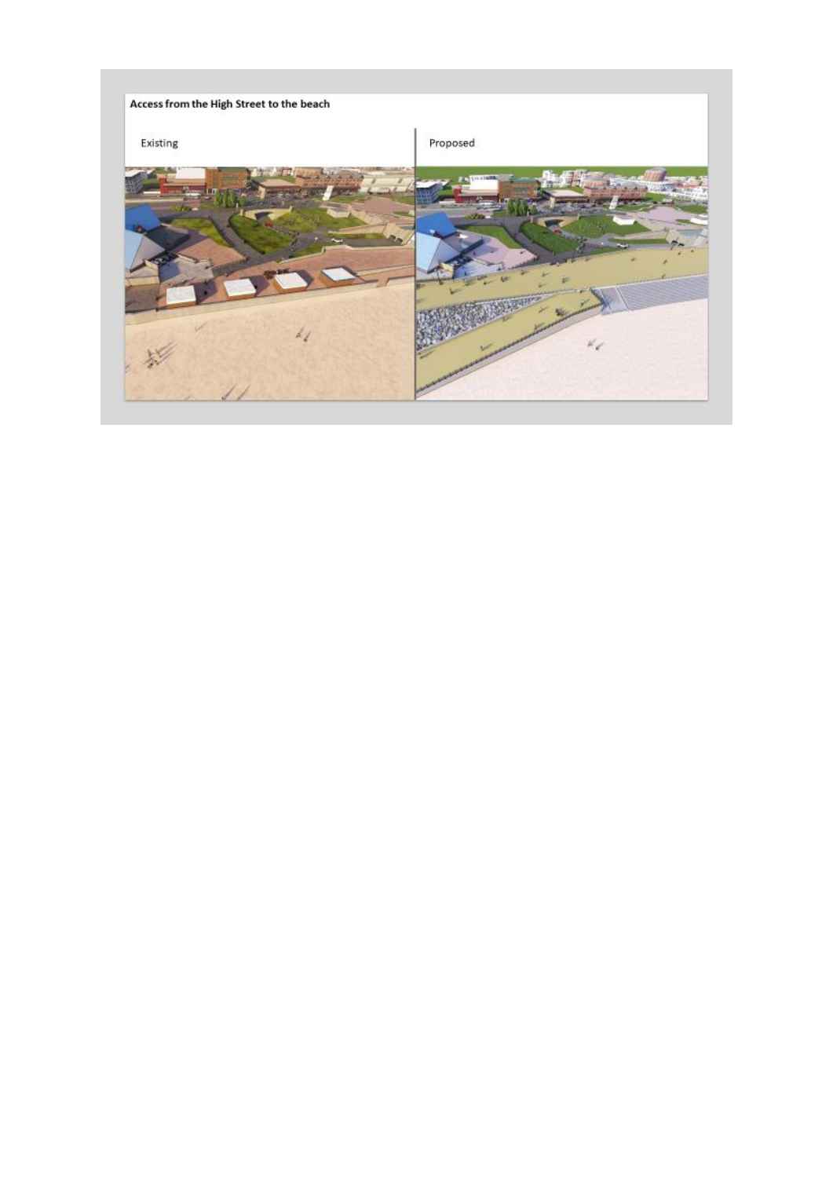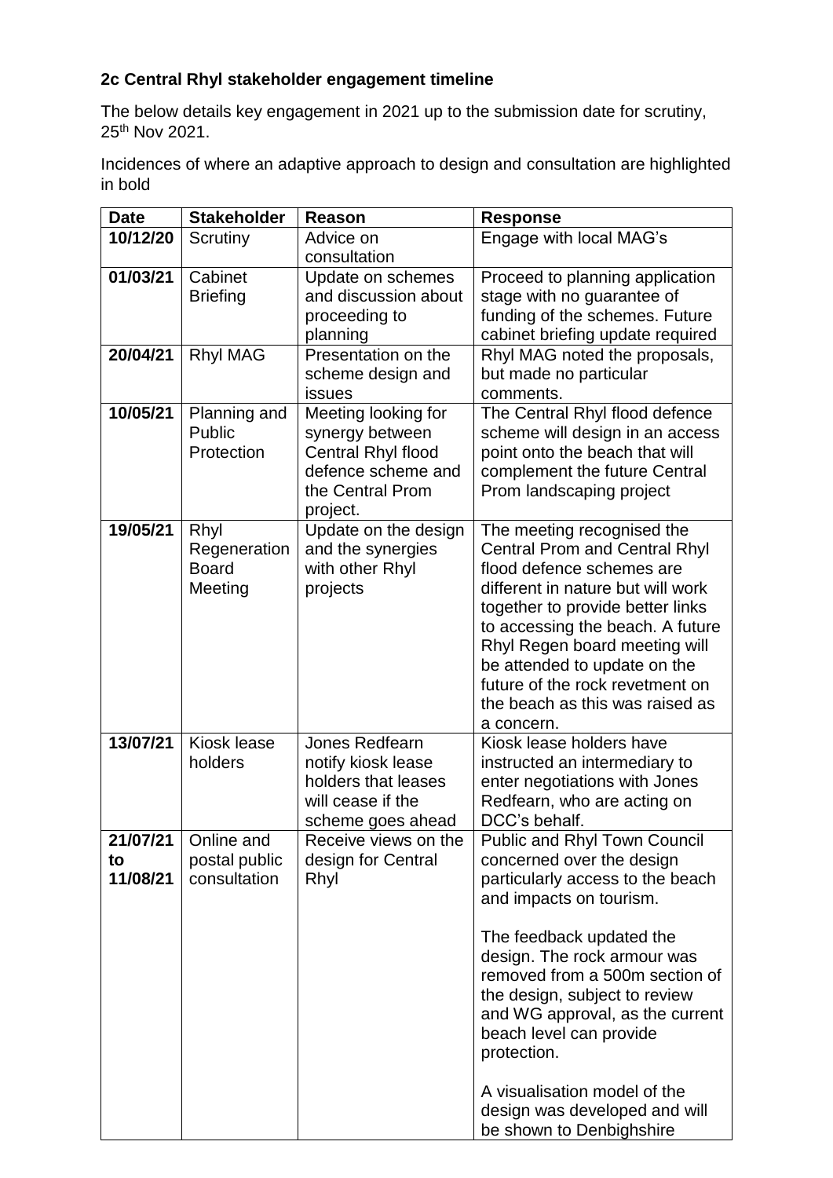## **2c Central Rhyl stakeholder engagement timeline**

The below details key engagement in 2021 up to the submission date for scrutiny, 25th Nov 2021.

Incidences of where an adaptive approach to design and consultation are highlighted in bold

| <b>Date</b>    | <b>Stakeholder</b>            | <b>Reason</b>                             | <b>Response</b>                                                 |
|----------------|-------------------------------|-------------------------------------------|-----------------------------------------------------------------|
| 10/12/20       | Scrutiny                      | Advice on                                 | Engage with local MAG's                                         |
|                |                               | consultation                              |                                                                 |
| 01/03/21       | Cabinet                       | Update on schemes<br>and discussion about | Proceed to planning application                                 |
|                | <b>Briefing</b>               | proceeding to                             | stage with no guarantee of<br>funding of the schemes. Future    |
|                |                               | planning                                  | cabinet briefing update required                                |
| 20/04/21       | <b>Rhyl MAG</b>               | Presentation on the                       | Rhyl MAG noted the proposals,                                   |
|                |                               | scheme design and                         | but made no particular                                          |
|                |                               | issues                                    | comments.                                                       |
| 10/05/21       | Planning and                  | Meeting looking for                       | The Central Rhyl flood defence                                  |
|                | Public                        | synergy between                           | scheme will design in an access                                 |
|                | Protection                    | Central Rhyl flood                        | point onto the beach that will                                  |
|                |                               | defence scheme and                        | complement the future Central                                   |
|                |                               | the Central Prom                          | Prom landscaping project                                        |
| 19/05/21       | Rhyl                          | project.<br>Update on the design          | The meeting recognised the                                      |
|                | Regeneration                  | and the synergies                         | <b>Central Prom and Central Rhyl</b>                            |
|                | <b>Board</b>                  | with other Rhyl                           | flood defence schemes are                                       |
|                | Meeting                       | projects                                  | different in nature but will work                               |
|                |                               |                                           | together to provide better links                                |
|                |                               |                                           | to accessing the beach. A future                                |
|                |                               |                                           | Rhyl Regen board meeting will                                   |
|                |                               |                                           | be attended to update on the<br>future of the rock revetment on |
|                |                               |                                           | the beach as this was raised as                                 |
|                |                               |                                           | a concern.                                                      |
| 13/07/21       | Kiosk lease                   | Jones Redfearn                            | Kiosk lease holders have                                        |
|                | holders                       | notify kiosk lease                        | instructed an intermediary to                                   |
|                |                               | holders that leases                       | enter negotiations with Jones                                   |
|                |                               | will cease if the                         | Redfearn, who are acting on                                     |
|                |                               | scheme goes ahead                         | DCC's behalf.                                                   |
| 21/07/21       | Online and                    | Receive views on the                      | Public and Rhyl Town Council                                    |
| to<br>11/08/21 | postal public<br>consultation | design for Central<br>Rhyl                | concerned over the design<br>particularly access to the beach   |
|                |                               |                                           | and impacts on tourism.                                         |
|                |                               |                                           |                                                                 |
|                |                               |                                           | The feedback updated the                                        |
|                |                               |                                           | design. The rock armour was                                     |
|                |                               |                                           | removed from a 500m section of                                  |
|                |                               |                                           | the design, subject to review                                   |
|                |                               |                                           | and WG approval, as the current                                 |
|                |                               |                                           | beach level can provide<br>protection.                          |
|                |                               |                                           |                                                                 |
|                |                               |                                           | A visualisation model of the                                    |
|                |                               |                                           | design was developed and will                                   |
|                |                               |                                           | be shown to Denbighshire                                        |